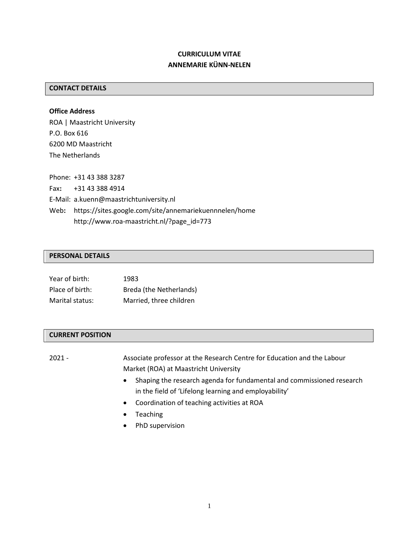## **CURRICULUM VITAE ANNEMARIE KÜNN-NELEN**

## **CONTACT DETAILS**

**Office Address**  ROA | Maastricht University P.O. Box 616 6200 MD Maastricht The Netherlands

Phone: +31 43 388 3287 Fax**:** +31 43 388 4914 E-Mail: a.kuenn@maastrichtuniversity.nl Web**:** https://sites.google.com/site/annemariekuennnelen/home http://www.roa-maastricht.nl/?page\_id=773

#### **PERSONAL DETAILS**

| Year of birth:  | 1983                    |
|-----------------|-------------------------|
| Place of birth: | Breda (the Netherlands) |
| Marital status: | Married, three children |

#### **CURRENT POSITION**

2021 - Associate professor at the Research Centre for Education and the Labour Market (ROA) at Maastricht University

- Shaping the research agenda for fundamental and commissioned research in the field of 'Lifelong learning and employability'
- Coordination of teaching activities at ROA
- Teaching
- PhD supervision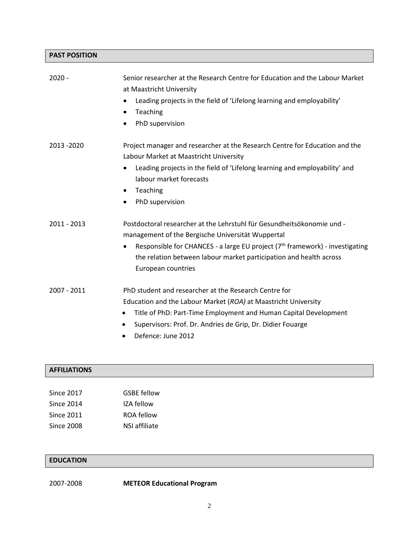# **PAST POSITION**

| $2020 -$      | Senior researcher at the Research Centre for Education and the Labour Market<br>at Maastricht University<br>Leading projects in the field of 'Lifelong learning and employability'<br>Teaching<br>$\bullet$<br>PhD supervision<br>$\bullet$                                                                                      |
|---------------|----------------------------------------------------------------------------------------------------------------------------------------------------------------------------------------------------------------------------------------------------------------------------------------------------------------------------------|
| 2013 - 2020   | Project manager and researcher at the Research Centre for Education and the<br>Labour Market at Maastricht University<br>Leading projects in the field of 'Lifelong learning and employability' and<br>$\bullet$<br>labour market forecasts<br>Teaching<br>$\bullet$<br>PhD supervision                                          |
| $2011 - 2013$ | Postdoctoral researcher at the Lehrstuhl für Gesundheitsökonomie und -<br>management of the Bergische Universität Wuppertal<br>Responsible for CHANCES - a large EU project (7 <sup>th</sup> framework) - investigating<br>$\bullet$<br>the relation between labour market participation and health across<br>European countries |
| 2007 - 2011   | PhD student and researcher at the Research Centre for<br>Education and the Labour Market (ROA) at Maastricht University<br>Title of PhD: Part-Time Employment and Human Capital Development<br>$\bullet$<br>Supervisors: Prof. Dr. Andries de Grip, Dr. Didier Fouarge<br>$\bullet$<br>Defence: June 2012<br>$\bullet$           |

# **AFFILIATIONS**

| <b>Since 2017</b> | <b>GSBE</b> fellow |
|-------------------|--------------------|
| Since 2014        | IZA fellow         |
| Since 2011        | ROA fellow         |
| Since 2008        | NSI affiliate      |

## **EDUCATION**

2007-2008 **METEOR Educational Program**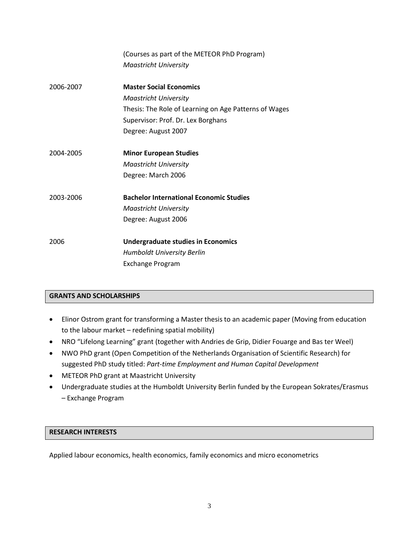|           | (Courses as part of the METEOR PhD Program)           |
|-----------|-------------------------------------------------------|
|           | <b>Maastricht University</b>                          |
|           |                                                       |
| 2006-2007 | <b>Master Social Economics</b>                        |
|           | <b>Maastricht University</b>                          |
|           | Thesis: The Role of Learning on Age Patterns of Wages |
|           | Supervisor: Prof. Dr. Lex Borghans                    |
|           | Degree: August 2007                                   |
| 2004-2005 | <b>Minor European Studies</b>                         |
|           | <b>Maastricht University</b>                          |
|           | Degree: March 2006                                    |
| 2003-2006 | <b>Bachelor International Economic Studies</b>        |
|           | <b>Maastricht University</b>                          |
|           | Degree: August 2006                                   |
| 2006      | <b>Undergraduate studies in Economics</b>             |
|           | Humboldt University Berlin                            |
|           | Exchange Program                                      |

## **GRANTS AND SCHOLARSHIPS**

- Elinor Ostrom grant for transforming a Master thesis to an academic paper (Moving from education to the labour market – redefining spatial mobility)
- NRO "Lifelong Learning" grant (together with Andries de Grip, Didier Fouarge and Bas ter Weel)
- NWO PhD grant (Open Competition of the Netherlands Organisation of Scientific Research) for suggested PhD study titled: *Part-time Employment and Human Capital Development*
- METEOR PhD grant at Maastricht University
- Undergraduate studies at the Humboldt University Berlin funded by the European Sokrates/Erasmus – Exchange Program

#### **RESEARCH INTERESTS**

Applied labour economics, health economics, family economics and micro econometrics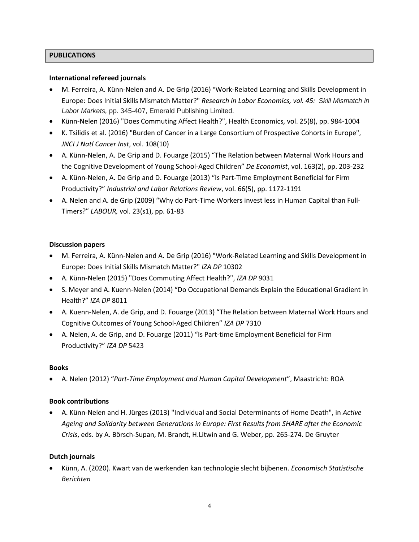### **PUBLICATIONS**

#### **International refereed journals**

- M. Ferreira, A. Künn-Nelen and A. De Grip (2016) "Work-Related Learning and Skills Development in Europe: Does Initial Skills Mismatch Matter?" *Research in Labor Economics, vol. 45: Skill Mismatch in Labor Markets,* pp. 345-407, Emerald Publishing Limited.
- Künn-Nelen (2016) "Does Commuting Affect Health?", Health Economics, vol. 25(8), pp. 984-1004
- K. Tsilidis et al. (2016) "Burden of Cancer in a Large Consortium of Prospective Cohorts in Europe", *JNCI J Natl Cancer Inst*, vol. 108(10)
- A. Künn-Nelen, A. De Grip and D. Fouarge (2015) "The Relation between Maternal Work Hours and the Cognitive Development of Young School-Aged Children" *De Economist*, vol. 163(2), pp. 203-232
- A. Künn-Nelen, A. De Grip and D. Fouarge (2013) "Is Part-Time Employment Beneficial for Firm Productivity?" *Industrial and Labor Relations Review*, vol. 66(5), pp. 1172-1191
- A. Nelen and A. de Grip (2009) "Why do Part-Time Workers invest less in Human Capital than Full-Timers?" *LABOUR,* vol. 23(s1), pp. 61-83

#### **Discussion papers**

- M. Ferreira, A. Künn-Nelen and A. De Grip (2016) "Work-Related Learning and Skills Development in Europe: Does Initial Skills Mismatch Matter?" *IZA DP* 10302
- A. Künn-Nelen (2015) "Does Commuting Affect Health?", *IZA DP* 9031
- S. Meyer and A. Kuenn-Nelen (2014) "Do Occupational Demands Explain the Educational Gradient in Health?" *IZA DP* 8011
- A. Kuenn-Nelen, A. de Grip, and D. Fouarge (2013) "The Relation between Maternal Work Hours and Cognitive Outcomes of Young School-Aged Children" *IZA DP* 7310
- A. Nelen, A. de Grip, and D. Fouarge (2011) "Is Part-time Employment Beneficial for Firm Productivity?" *IZA DP* 5423

#### **Books**

• A. Nelen (2012) "*Part-Time Employment and Human Capital Development*", Maastricht: ROA

#### **Book contributions**

• A. Künn-Nelen and H. Jürges (2013) "Individual and Social Determinants of Home Death", in *Active Ageing and Solidarity between Generations in Europe: First Results from SHARE after the Economic Crisis*, eds. by A. Börsch-Supan, M. Brandt, H.Litwin and G. Weber, pp. 265-274. De Gruyter

#### **Dutch journals**

• Künn, A. (2020). Kwart van de werkenden kan technologie slecht bijbenen. *Economisch Statistische Berichten*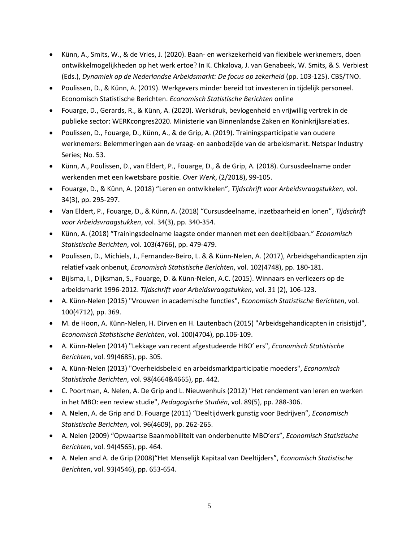- Künn, A., Smits, W., & de Vries, J. (2020). Baan- en werkzekerheid van flexibele werknemers, doen ontwikkelmogelijkheden op het werk ertoe? In K. Chkalova, J. van Genabeek, W. Smits, & S. Verbiest (Eds.), *Dynamiek op de Nederlandse Arbeidsmarkt: De focus op zekerheid* (pp. 103-125). CBS/TNO.
- Poulissen, D., & Künn, A. (2019). Werkgevers minder bereid tot investeren in tijdelijk personeel. Economisch Statistische Berichten. *Economisch Statistische Berichten* online
- Fouarge, D., Gerards, R., & Künn, A. (2020). Werkdruk, bevlogenheid en vrijwillig vertrek in de publieke sector: WERKcongres2020. Ministerie van Binnenlandse Zaken en Koninkrijksrelaties.
- Poulissen, D., Fouarge, D., Künn, A., & de Grip, A. (2019). Trainingsparticipatie van oudere werknemers: Belemmeringen aan de vraag- en aanbodzijde van de arbeidsmarkt. Netspar Industry Series; No. 53.
- Künn, A., Poulissen, D., van Eldert, P., Fouarge, D., & de Grip, A. (2018). Cursusdeelname onder werkenden met een kwetsbare positie. *Over Werk*, (2/2018), 99-105.
- Fouarge, D., & Künn, A. (2018) "Leren en ontwikkelen", *Tijdschrift voor Arbeidsvraagstukken*, vol. 34(3), pp. 295-297.
- Van Eldert, P., Fouarge, D., & Künn, A. (2018) "Cursusdeelname, inzetbaarheid en lonen", *Tijdschrift voor Arbeidsvraagstukken*, vol. 34(3), pp. 340-354.
- Künn, A. (2018) "Trainingsdeelname laagste onder mannen met een deeltijdbaan." *Economisch Statistische Berichten*, vol. 103(4766), pp. 479-479.
- Poulissen, D., Michiels, J., Fernandez-Beiro, L. & & Künn-Nelen, A. (2017), Arbeidsgehandicapten zijn relatief vaak onbenut, *Economisch Statistische Berichten*, vol. 102(4748), pp. 180-181.
- Bijlsma, I., Dijksman, S., Fouarge, D. & Künn-Nelen, A.C. (2015). Winnaars en verliezers op de arbeidsmarkt 1996-2012. *Tijdschrift voor Arbeidsvraagstukken*, vol. 31 (2), 106-123.
- A. Künn-Nelen (2015) "Vrouwen in academische functies", *Economisch Statistische Berichten*, vol. 100(4712), pp. 369.
- M. de Hoon, A. Künn-Nelen, H. Dirven en H. Lautenbach (2015) "Arbeidsgehandicapten in crisistijd", *Economisch Statistische Berichten*, vol. 100(4704), pp.106-109.
- A. Künn-Nelen (2014) "Lekkage van recent afgestudeerde HBO' ers", *Economisch Statistische Berichten*, vol. 99(4685), pp. 305.
- A. Künn-Nelen (2013) "Overheidsbeleid en arbeidsmarktparticipatie moeders", *Economisch Statistische Berichten*, vol. 98(4664&4665), pp. 442.
- C. Poortman, A. Nelen, A. De Grip and L. Nieuwenhuis (2012) "Het rendement van leren en werken in het MBO: een review studie", *Pedagogische Studiën*, vol. 89(5), pp. 288-306.
- A. Nelen, A. de Grip and D. Fouarge (2011) "Deeltijdwerk gunstig voor Bedrijven", *Economisch Statistische Berichten*, vol. 96(4609), pp. 262-265.
- A. Nelen (2009) "Opwaartse Baanmobiliteit van onderbenutte MBO'ers", *Economisch Statistische Berichten*, vol. 94(4565), pp. 464.
- A. Nelen and A. de Grip (2008)"Het Menselijk Kapitaal van Deeltijders", *Economisch Statistische Berichten*, vol. 93(4546), pp. 653-654.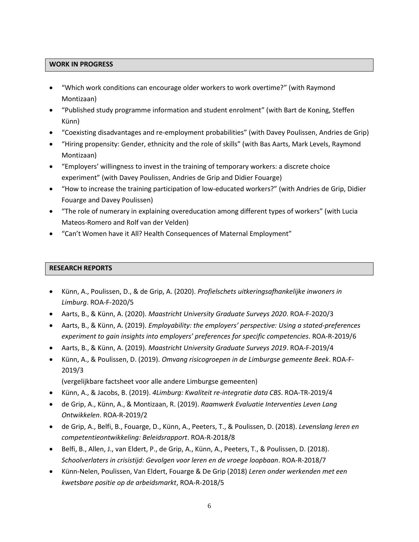#### **WORK IN PROGRESS**

- "Which work conditions can encourage older workers to work overtime?" (with Raymond Montizaan)
- "Published study programme information and student enrolment" (with Bart de Koning, Steffen Künn)
- "Coexisting disadvantages and re-employment probabilities" (with Davey Poulissen, Andries de Grip)
- "Hiring propensity: Gender, ethnicity and the role of skills" (with Bas Aarts, Mark Levels, Raymond Montizaan)
- "Employers' willingness to invest in the training of temporary workers: a discrete choice experiment" (with Davey Poulissen, Andries de Grip and Didier Fouarge)
- "How to increase the training participation of low-educated workers?" (with Andries de Grip, Didier Fouarge and Davey Poulissen)
- "The role of numerary in explaining overeducation among different types of workers" (with Lucia Mateos-Romero and Rolf van der Velden)
- "Can't Women have it All? Health Consequences of Maternal Employment"

#### **RESEARCH REPORTS**

- Künn, A., Poulissen, D., & de Grip, A. (2020). *Profielschets uitkeringsafhankelijke inwoners in Limburg*. ROA-F-2020/5
- Aarts, B., & Künn, A. (2020). *Maastricht University Graduate Surveys 2020*. ROA-F-2020/3
- Aarts, B., & Künn, A. (2019). *Employability: the employers' perspective: Using a stated-preferences experiment to gain insights into employers' preferences for specific competencies*. ROA-R-2019/6
- Aarts, B., & Künn, A. (2019). *Maastricht University Graduate Surveys 2019*. ROA-F-2019/4
- Künn, A., & Poulissen, D. (2019). *Omvang risicogroepen in de Limburgse gemeente Beek*. ROA-F-2019/3

(vergelijkbare factsheet voor alle andere Limburgse gemeenten)

- Künn, A., & Jacobs, B. (2019). *4Limburg: Kwaliteit re-integratie data CBS*. ROA-TR-2019/4
- de Grip, A., Künn, A., & Montizaan, R. (2019). *Raamwerk Evaluatie Interventies Leven Lang Ontwikkelen*. ROA-R-2019/2
- de Grip, A., Belfi, B., Fouarge, D., Künn, A., Peeters, T., & Poulissen, D. (2018). *Levenslang leren en competentieontwikkeling: Beleidsrapport*. ROA-R-2018/8
- Belfi, B., Allen, J., van Eldert, P., de Grip, A., Künn, A., Peeters, T., & Poulissen, D. (2018). *Schoolverlaters in crisistijd: Gevolgen voor leren en de vroege loopbaan*. ROA-R-2018/7
- Künn-Nelen, Poulissen, Van Eldert, Fouarge & De Grip (2018) *Leren onder werkenden met een kwetsbare positie op de arbeidsmarkt*, ROA-R-2018/5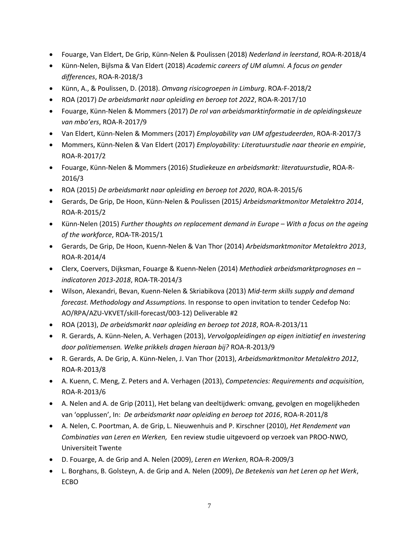- Fouarge, Van Eldert, De Grip, Künn-Nelen & Poulissen (2018) *Nederland in leerstand*, ROA-R-2018/4
- Künn-Nelen, Bijlsma & Van Eldert (2018) *Academic careers of UM alumni. A focus on gender differences*, ROA-R-2018/3
- Künn, A., & Poulissen, D. (2018). *Omvang risicogroepen in Limburg*. ROA-F-2018/2
- ROA (2017) *De arbeidsmarkt naar opleiding en beroep tot 2022*, ROA-R-2017/10
- Fouarge, Künn-Nelen & Mommers (2017) *De rol van arbeidsmarktinformatie in de opleidingskeuze van mbo'ers*, ROA-R-2017/9
- Van Eldert, Künn-Nelen & Mommers (2017) *Employability van UM afgestudeerden*, ROA-R-2017/3
- Mommers, Künn-Nelen & Van Eldert (2017) *Employability: Literatuurstudie naar theorie en empirie*, ROA-R-2017/2
- Fouarge, Künn-Nelen & Mommers (2016) *Studiekeuze en arbeidsmarkt: literatuurstudie*, ROA-R-2016/3
- ROA (2015) *De arbeidsmarkt naar opleiding en beroep tot 2020*, ROA-R-2015/6
- Gerards, De Grip, De Hoon, Künn-Nelen & Poulissen (2015*) Arbeidsmarktmonitor Metalektro 2014*, ROA-R-2015/2
- Künn-Nelen (2015) *Further thoughts on replacement demand in Europe With a focus on the ageing of the workforce*, ROA-TR-2015/1
- Gerards, De Grip, De Hoon, Kuenn-Nelen & Van Thor (2014) *Arbeidsmarktmonitor Metalektro 2013*, ROA-R-2014/4
- Clerx, Coervers, Dijksman, Fouarge & Kuenn-Nelen (2014) *Methodiek arbeidsmarktprognoses en – indicatoren 2013-2018*, ROA-TR-2014/3
- Wilson, Alexandri, Bevan, Kuenn-Nelen & Skriabikova (2013) *Mid-term skills supply and demand forecast. Methodology and Assumptions.* In response to open invitation to tender Cedefop No: AO/RPA/AZU-VKVET/skill-forecast/003-12) Deliverable #2
- ROA (2013), *De arbeidsmarkt naar opleiding en beroep tot 2018*, ROA-R-2013/11
- R. Gerards, A. Künn-Nelen, A. Verhagen (2013), *Vervolgopleidingen op eigen initiatief en investering door politiemensen. Welke prikkels dragen hieraan bij?* ROA-R-2013/9
- R. Gerards, A. De Grip, A. Künn-Nelen, J. Van Thor (2013), *Arbeidsmarktmonitor Metalektro 2012*, ROA-R-2013/8
- A. Kuenn, C. Meng, Z. Peters and A. Verhagen (2013), *Competencies: Requirements and acquisition*, ROA-R-2013/6
- A. Nelen and A. de Grip (2011), Het belang van deeltijdwerk: omvang, gevolgen en mogelijkheden van 'opplussen', In: *De arbeidsmarkt naar opleiding en beroep tot 2016*, ROA-R-2011/8
- A. Nelen, C. Poortman, A. de Grip, L. Nieuwenhuis and P. Kirschner (2010), *Het Rendement van Combinaties van Leren en Werken,* Een review studie uitgevoerd op verzoek van PROO-NWO*,*  Universiteit Twente
- D. Fouarge, A. de Grip and A. Nelen (2009), *Leren en Werken*, ROA-R-2009/3
- L. Borghans, B. Golsteyn, A. de Grip and A. Nelen (2009), *De Betekenis van het Leren op het Werk*, ECBO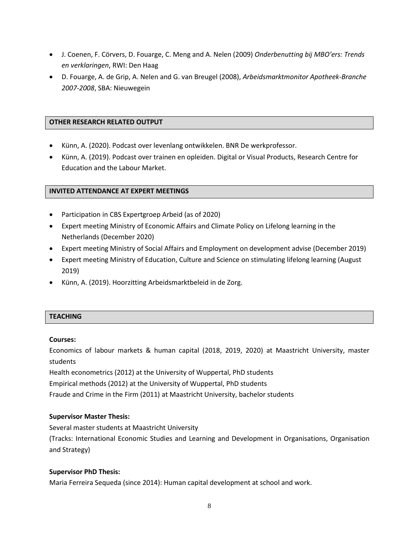- J. Coenen, F. Cörvers, D. Fouarge, C. Meng and A. Nelen (2009) *Onderbenutting bij MBO'ers: Trends en verklaringen*, RWI: Den Haag
- D. Fouarge, A. de Grip, A. Nelen and G. van Breugel (2008), *Arbeidsmarktmonitor Apotheek-Branche 2007-2008*, SBA: Nieuwegein

#### **OTHER RESEARCH RELATED OUTPUT**

- Künn, A. (2020). Podcast over levenlang ontwikkelen. BNR De werkprofessor.
- Künn, A. (2019). Podcast over trainen en opleiden. Digital or Visual Products, Research Centre for Education and the Labour Market.

### **INVITED ATTENDANCE AT EXPERT MEETINGS**

- Participation in CBS Expertgroep Arbeid (as of 2020)
- Expert meeting Ministry of Economic Affairs and Climate Policy on Lifelong learning in the Netherlands (December 2020)
- Expert meeting Ministry of Social Affairs and Employment on development advise (December 2019)
- Expert meeting Ministry of Education, Culture and Science on stimulating lifelong learning (August 2019)
- Künn, A. (2019). Hoorzitting Arbeidsmarktbeleid in de Zorg.

#### **TEACHING**

#### **Courses:**

Economics of labour markets & human capital (2018, 2019, 2020) at Maastricht University, master students

Health econometrics (2012) at the University of Wuppertal, PhD students

Empirical methods (2012) at the University of Wuppertal, PhD students

Fraude and Crime in the Firm (2011) at Maastricht University, bachelor students

#### **Supervisor Master Thesis:**

Several master students at Maastricht University

(Tracks: International Economic Studies and Learning and Development in Organisations, Organisation and Strategy)

#### **Supervisor PhD Thesis:**

Maria Ferreira Sequeda (since 2014): Human capital development at school and work.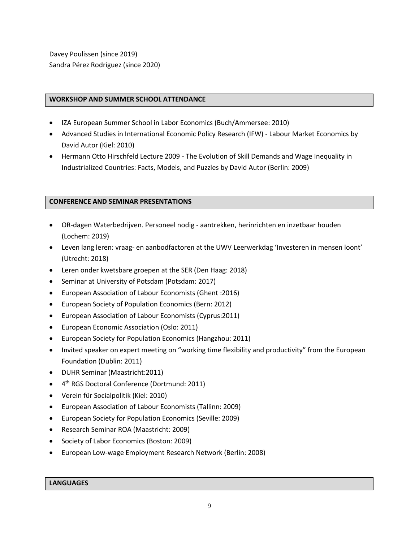Davey Poulissen (since 2019) Sandra Pérez Rodríguez (since 2020)

#### **WORKSHOP AND SUMMER SCHOOL ATTENDANCE**

- IZA European Summer School in Labor Economics (Buch/Ammersee: 2010)
- Advanced Studies in International Economic Policy Research (IFW) Labour Market Economics by David Autor (Kiel: 2010)
- Hermann Otto Hirschfeld Lecture 2009 The Evolution of Skill Demands and Wage Inequality in Industrialized Countries: Facts, Models, and Puzzles by David Autor (Berlin: 2009)

#### **CONFERENCE AND SEMINAR PRESENTATIONS**

- OR-dagen Waterbedrijven. Personeel nodig aantrekken, herinrichten en inzetbaar houden (Lochem: 2019)
- Leven lang leren: vraag- en aanbodfactoren at the UWV Leerwerkdag 'Investeren in mensen loont' (Utrecht: 2018)
- Leren onder kwetsbare groepen at the SER (Den Haag: 2018)
- Seminar at University of Potsdam (Potsdam: 2017)
- European Association of Labour Economists (Ghent :2016)
- European Society of Population Economics (Bern: 2012)
- European Association of Labour Economists (Cyprus:2011)
- European Economic Association (Oslo: 2011)
- European Society for Population Economics (Hangzhou: 2011)
- Invited speaker on expert meeting on "working time flexibility and productivity" from the European Foundation (Dublin: 2011)
- DUHR Seminar (Maastricht:2011)
- 4<sup>th</sup> RGS Doctoral Conference (Dortmund: 2011)
- Verein für Socialpolitik (Kiel: 2010)
- European Association of Labour Economists (Tallinn: 2009)
- European Society for Population Economics (Seville: 2009)
- Research Seminar ROA (Maastricht: 2009)
- Society of Labor Economics (Boston: 2009)
- European Low-wage Employment Research Network (Berlin: 2008)

#### **LANGUAGES**